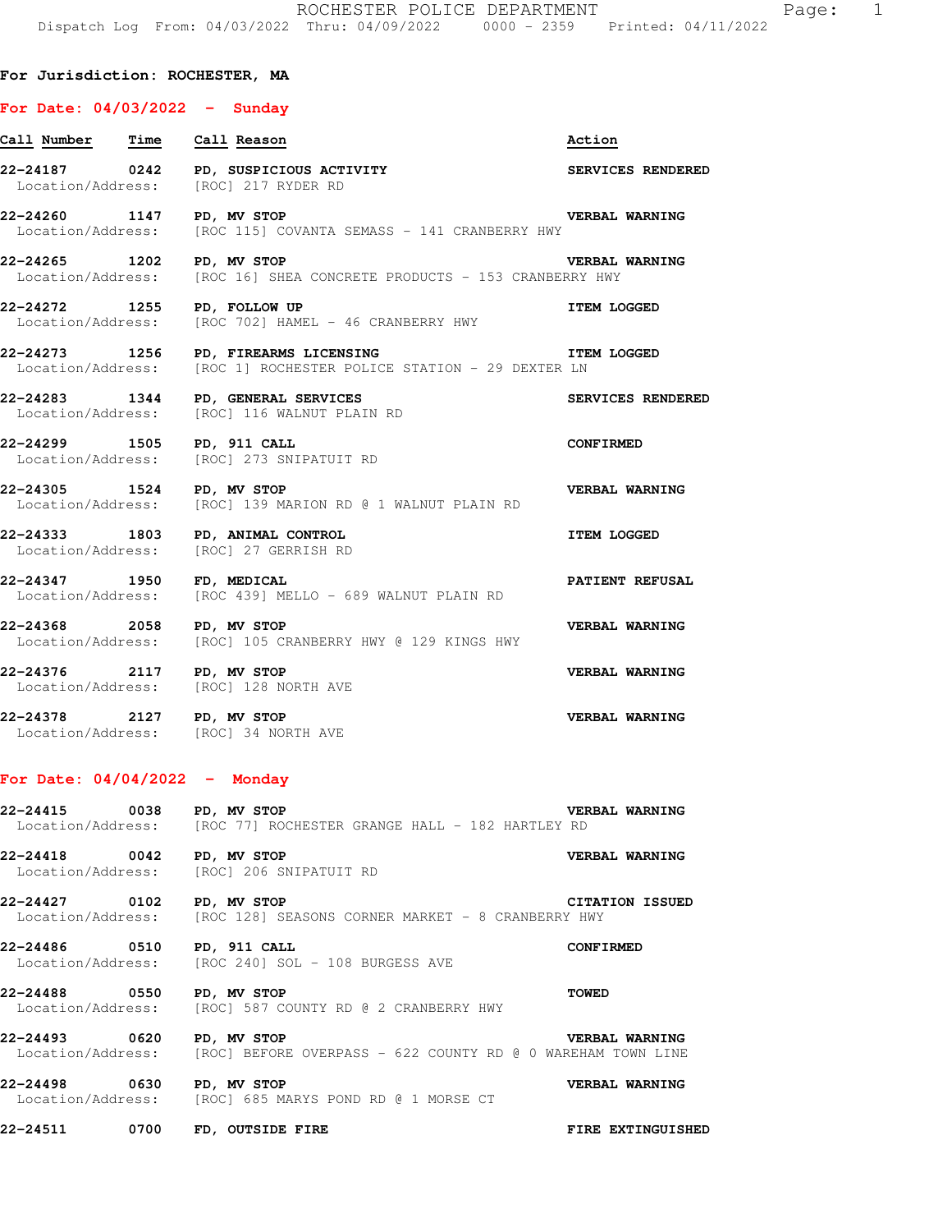## **For Jurisdiction: ROCHESTER, MA**

## **For Date: 04/03/2022 - Sunday**

| Call Number Time Call Reason                                              |                                                                                                           | Action                |
|---------------------------------------------------------------------------|-----------------------------------------------------------------------------------------------------------|-----------------------|
| Location/Address: [ROC] 217 RYDER RD                                      | 22-24187 0242 PD, SUSPICIOUS ACTIVITY                                                                     | SERVICES RENDERED     |
| 22-24260 1147 PD, MV STOP                                                 | <b>VERBAL WARNING</b><br>Location/Address: [ROC 115] COVANTA SEMASS - 141 CRANBERRY HWY                   |                       |
| 22-24265 1202 PD, MV STOP                                                 | <b>THE VERBAL WARNING</b><br>Location/Address: [ROC 16] SHEA CONCRETE PRODUCTS - 153 CRANBERRY HWY        |                       |
|                                                                           | 22-24272 1255 PD, FOLLOW UP<br>Location/Address: [ROC 702] HAMEL - 46 CRANBERRY HWY                       | <b>ITEM LOGGED</b>    |
|                                                                           | 22-24273 1256 PD, FIREARMS LICENSING<br>Location/Address: [ROC 1] ROCHESTER POLICE STATION - 29 DEXTER LN | <b>ITEM LOGGED</b>    |
| 22-24283 1344 PD, GENERAL SERVICES                                        | Location/Address: [ROC] 116 WALNUT PLAIN RD                                                               | SERVICES RENDERED     |
| 22-24299 1505 PD, 911 CALL                                                | Location/Address: [ROC] 273 SNIPATUIT RD                                                                  | <b>CONFIRMED</b>      |
| 22-24305 1524 PD, MV STOP                                                 | Location/Address: [ROC] 139 MARION RD @ 1 WALNUT PLAIN RD                                                 | <b>VERBAL WARNING</b> |
| 22-24333 1803 PD, ANIMAL CONTROL<br>Location/Address: [ROC] 27 GERRISH RD |                                                                                                           | <b>ITEM LOGGED</b>    |
| 22-24347 1950 FD, MEDICAL                                                 | Location/Address: [ROC 439] MELLO - 689 WALNUT PLAIN RD                                                   | PATIENT REFUSAL       |
| 22-24368 2058 PD, MV STOP                                                 | Location/Address: [ROC] 105 CRANBERRY HWY @ 129 KINGS HWY                                                 | <b>VERBAL WARNING</b> |
| 22-24376 2117 PD, MV STOP<br>Location/Address: [ROC] 128 NORTH AVE        |                                                                                                           | <b>VERBAL WARNING</b> |
| 22-24378 2127 PD, MV STOP<br>Location/Address: [ROC] 34 NORTH AVE         |                                                                                                           | VERBAL WARNING        |

## **For Date: 04/04/2022 - Monday**

**22-24415 0038 PD, MV STOP VERBAL WARNING**  Location/Address: [ROC 77] ROCHESTER GRANGE HALL - 182 HARTLEY RD

**22-24418 0042 PD, MV STOP VERBAL WARNING**  Location/Address: [ROC] 206 SNIPATUIT RD

**22-24427 0102 PD, MV STOP CITATION ISSUED**  Location/Address: [ROC 128] SEASONS CORNER MARKET - 8 CRANBERRY HWY

**22-24486 0510 PD, 911 CALL CONFIRMED**  Location/Address: [ROC 240] SOL - 108 BURGESS AVE

**22-24488 0550 PD, MV STOP TOWED**  Location/Address: [ROC] 587 COUNTY RD @ 2 CRANBERRY HWY

**22-24493 0620 PD, MV STOP VERBAL WARNING**  Location/Address: [ROC] BEFORE OVERPASS - 622 COUNTY RD @ 0 WAREHAM TOWN LINE

**22-24498 0630 PD, MV STOP CONDER AND READ VERBAL WARNING Location/Address:** [ROC] 685 MARYS POND RD @ 1 MORSE CT [ROC] 685 MARYS POND RD @ 1 MORSE CT

**22-24511 0700 FD, OUTSIDE FIRE FIRE EXTINGUISHED**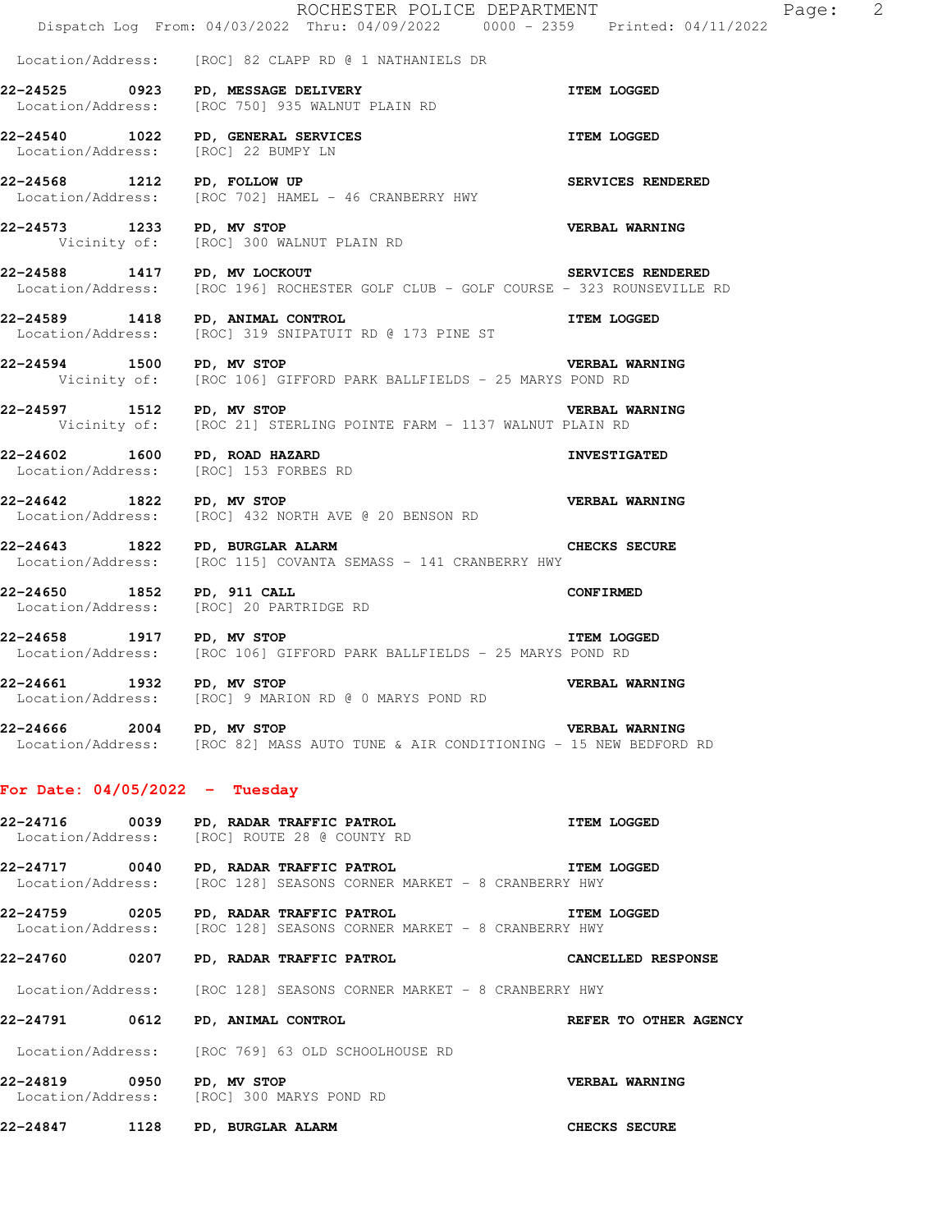|                                     | ROCHESTER POLICE DEPARTMENT<br>Dispatch Log From: 04/03/2022 Thru: 04/09/2022 0000 - 2359 Printed: 04/11/2022                       |                          |
|-------------------------------------|-------------------------------------------------------------------------------------------------------------------------------------|--------------------------|
|                                     |                                                                                                                                     |                          |
|                                     | Location/Address: [ROC] 82 CLAPP RD @ 1 NATHANIELS DR                                                                               |                          |
|                                     | 22-24525 0923 PD, MESSAGE DELIVERY<br>Location/Address: [ROC 750] 935 WALNUT PLAIN RD                                               | <b>ITEM LOGGED</b>       |
| Location/Address: [ROC] 22 BUMPY LN | 22-24540 1022 PD, GENERAL SERVICES TEM LOGGED                                                                                       |                          |
| 22-24568 1212 PD, FOLLOW UP         | 22-24568 1212 PD, FOLLOW UP<br>Location/Address: [ROC 702] HAMEL - 46 CRANBERRY HWY                                                 | <b>SERVICES RENDERED</b> |
| 22-24573 1233 PD, MV STOP           | Vicinity of: [ROC] 300 WALNUT PLAIN RD                                                                                              | <b>VERBAL WARNING</b>    |
| 22-24588 1417 PD, MV LOCKOUT        | Location/Address: [ROC 196] ROCHESTER GOLF CLUB - GOLF COURSE - 323 ROUNSEVILLE RD                                                  | SERVICES RENDERED        |
| 22-24589 1418 PD, ANIMAL CONTROL    | ITEM LOGGED<br>Location/Address: [ROC] 319 SNIPATUIT RD @ 173 PINE ST                                                               |                          |
| 22-24594 1500 PD, MV STOP           | Vicinity of: [ROC 106] GIFFORD PARK BALLFIELDS - 25 MARYS POND RD                                                                   | <b>VERBAL WARNING</b>    |
|                                     | 22-24597 1512 PD, MV STOP<br>Vicinity of: [ROC 21] STERLING POINTE FARM - 1137 WALNUT PLAIN RD                                      | <b>VERBAL WARNING</b>    |
| 22-24602 1600 PD, ROAD HAZARD       | Location/Address: [ROC] 153 FORBES RD                                                                                               | <b>INVESTIGATED</b>      |
| 22-24642 1822 PD, MV STOP           | <b>VERBAL WARNING</b><br>Location/Address: [ROC] 432 NORTH AVE @ 20 BENSON RD                                                       |                          |
| 22-24643 1822 PD, BURGLAR ALARM     | Location/Address: [ROC 115] COVANTA SEMASS - 141 CRANBERRY HWY                                                                      | <b>CHECKS SECURE</b>     |
|                                     | 22-24650 1852 PD, 911 CALL<br>Location/Address: [ROC] 20 PARTRIDGE RD                                                               | <b>CONFIRMED</b>         |
| 22-24658 1917 PD, MV STOP           | Location/Address: [ROC 106] GIFFORD PARK BALLFIELDS - 25 MARYS POND RD                                                              | <b>ITEM LOGGED</b>       |
| 22-24661 1932 PD, MV STOP           | Location/Address: [ROC] 9 MARION RD @ 0 MARYS POND RD                                                                               | VERBAL WARNING           |
| 22-24666 2004 PD, MV STOP           | Location/Address: [ROC 82] MASS AUTO TUNE & AIR CONDITIONING - 15 NEW BEDFORD RD                                                    | <b>VERBAL WARNING</b>    |
| For Date: $04/05/2022 - Tuesday$    |                                                                                                                                     |                          |
|                                     | 22-24716 0039 PD, RADAR TRAFFIC PATROL<br>Location/Address: [ROC] ROUTE 28 @ COUNTY RD                                              | <b>ITEM LOGGED</b>       |
|                                     | 22-24717 0040 PD, RADAR TRAFFIC PATROL<br><b>THEM LOGGED</b><br>Location/Address: [ROC 128] SEASONS CORNER MARKET - 8 CRANBERRY HWY |                          |
|                                     | 22-24759 0205 PD, RADAR TRAFFIC PATROL<br>Location/Address: [ROC 128] SEASONS CORNER MARKET - 8 CRANBERRY HWY                       | <b>ITEM LOGGED</b>       |
|                                     | 22-24760         0207     PD, RADAR TRAFFIC PATROL                                                                                  | CANCELLED RESPONSE       |
|                                     | Location/Address: [ROC 128] SEASONS CORNER MARKET - 8 CRANBERRY HWY                                                                 |                          |
| 22-24791 0612 PD, ANIMAL CONTROL    |                                                                                                                                     | REFER TO OTHER AGENCY    |
|                                     | Location/Address: [ROC 769] 63 OLD SCHOOLHOUSE RD                                                                                   |                          |
|                                     | 22-24819 0950 PD, MV STOP<br>Location/Address: [ROC] 300 MARYS POND RD                                                              | <b>VERBAL WARNING</b>    |
| 22-24847 1128 PD, BURGLAR ALARM     |                                                                                                                                     | <b>CHECKS SECURE</b>     |

Page: 2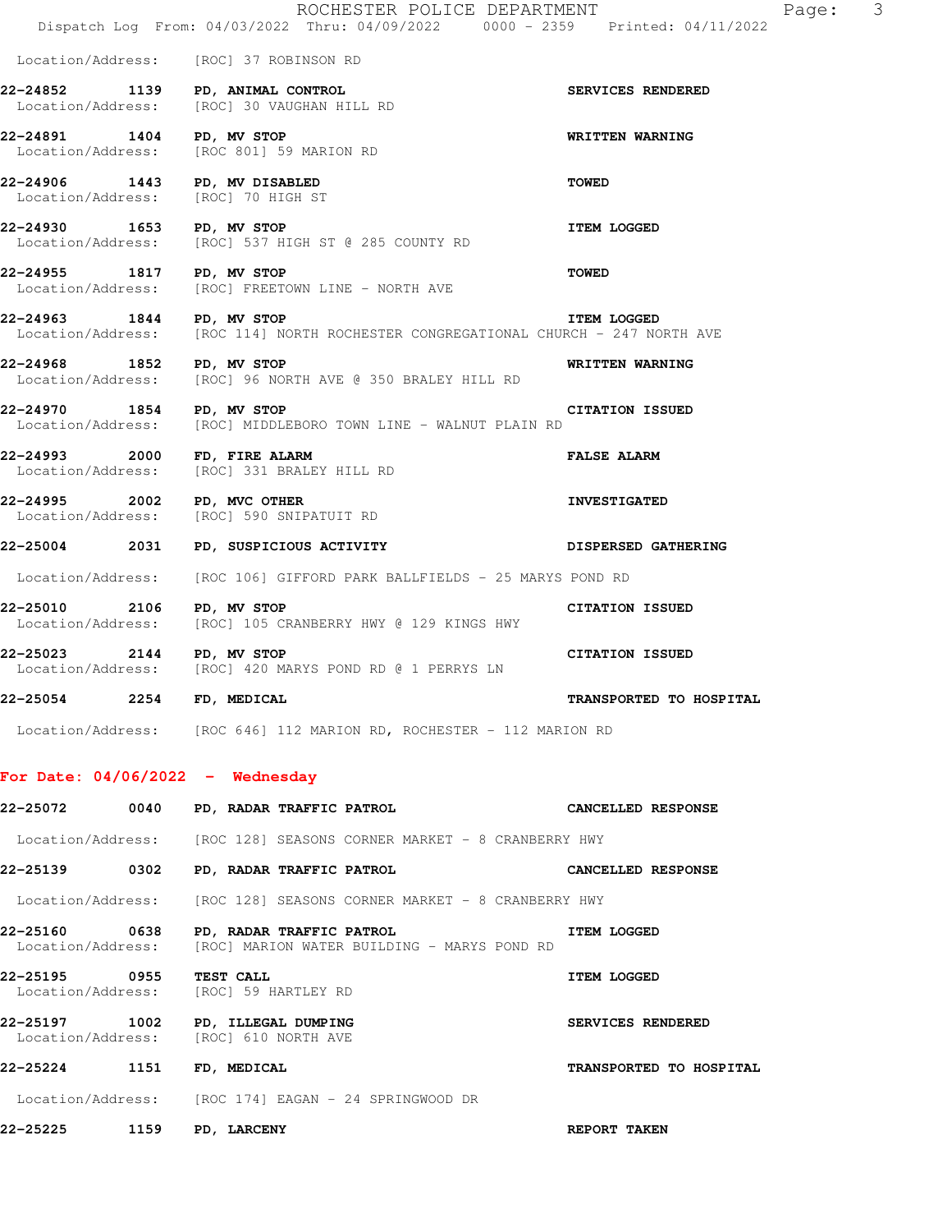|                           |      | ROCHESTER POLICE DEPARTMENT<br>Dispatch Log From: 04/03/2022 Thru: 04/09/2022 0000 - 2359 Printed: 04/11/2022 | Page: 3                   |
|---------------------------|------|---------------------------------------------------------------------------------------------------------------|---------------------------|
|                           |      | Location/Address: [ROC] 37 ROBINSON RD                                                                        |                           |
|                           |      | 22-24852 1139 PD, ANIMAL CONTROL<br>Location/Address: [ROC] 30 VAUGHAN HILL RD                                | SERVICES RENDERED         |
| 22-24891 1404 PD, MV STOP |      | Location/Address: [ROC 801] 59 MARION RD                                                                      | WRITTEN WARNING           |
|                           |      | 22-24906 1443 PD, MV DISABLED<br>Location/Address: [ROC] 70 HIGH ST                                           | <b>TOWED</b>              |
| 22-24930 1653 PD, MV STOP |      | Location/Address: [ROC] 537 HIGH ST @ 285 COUNTY RD                                                           | <b>ITEM LOGGED</b>        |
| 22-24955 1817 PD, MV STOP |      | Location/Address: [ROC] FREETOWN LINE - NORTH AVE                                                             | <b>TOWED</b>              |
| 22-24963 1844 PD, MV STOP |      | Location/Address: [ROC 114] NORTH ROCHESTER CONGREGATIONAL CHURCH - 247 NORTH AVE                             | <b>ITEM LOGGED</b>        |
| 22-24968 1852 PD, MV STOP |      | Location/Address: [ROC] 96 NORTH AVE @ 350 BRALEY HILL RD                                                     | WRITTEN WARNING           |
| 22-24970 1854 PD, MV STOP |      | <b>CITATION ISSUED</b><br>Location/Address: [ROC] MIDDLEBORO TOWN LINE - WALNUT PLAIN RD                      |                           |
|                           |      | 22-24993 2000 FD, FIRE ALARM<br>Location/Address: [ROC] 331 BRALEY HILL RD                                    | <b>FALSE ALARM</b>        |
|                           |      | 22-24995 2002 PD, MVC OTHER<br>Location/Address: [ROC] 590 SNIPATUIT RD                                       | <b>INVESTIGATED</b>       |
|                           |      | 22-25004 2031 PD, SUSPICIOUS ACTIVITY                                                                         | DISPERSED GATHERING       |
|                           |      | Location/Address: [ROC 106] GIFFORD PARK BALLFIELDS - 25 MARYS POND RD                                        |                           |
| 22-25010 2106 PD, MV STOP |      | Location/Address: [ROC] 105 CRANBERRY HWY @ 129 KINGS HWY                                                     | <b>CITATION ISSUED</b>    |
| 22-25023 2144 PD, MV STOP |      | Location/Address: [ROC] 420 MARYS POND RD @ 1 PERRYS LN                                                       | <b>CITATION ISSUED</b>    |
| 22-25054 2254 FD, MEDICAL |      |                                                                                                               | TRANSPORTED TO HOSPITAL   |
|                           |      | Location/Address: [ROC 646] 112 MARION RD, ROCHESTER - 112 MARION RD                                          |                           |
|                           |      | For Date: $04/06/2022 -$ Wednesday                                                                            |                           |
|                           |      | 22-25072 0040 PD, RADAR TRAFFIC PATROL                                                                        | <b>CANCELLED RESPONSE</b> |
|                           |      | Location/Address: [ROC 128] SEASONS CORNER MARKET - 8 CRANBERRY HWY                                           |                           |
|                           |      | 22-25139 0302 PD, RADAR TRAFFIC PATROL                                                                        | CANCELLED RESPONSE        |
|                           |      | Location/Address: [ROC 128] SEASONS CORNER MARKET - 8 CRANBERRY HWY                                           |                           |
|                           |      | 22-25160 0638 PD, RADAR TRAFFIC PATROL<br>Location/Address: [ROC] MARION WATER BUILDING - MARYS POND RD       | <b>ITEM LOGGED</b>        |
| 22-25195    0955          |      | <b>TEST CALL</b><br>Location/Address: [ROC] 59 HARTLEY RD                                                     | ITEM LOGGED               |
|                           |      | 22-25197 1002 PD, ILLEGAL DUMPING<br>Location/Address: [ROC] 610 NORTH AVE                                    | SERVICES RENDERED         |
| 22-25224                  |      | 1151 FD, MEDICAL                                                                                              | TRANSPORTED TO HOSPITAL   |
|                           |      | Location/Address: [ROC 174] EAGAN - 24 SPRINGWOOD DR                                                          |                           |
| 22–25225                  | 1159 | <b>PD, LARCENY</b>                                                                                            | REPORT TAKEN              |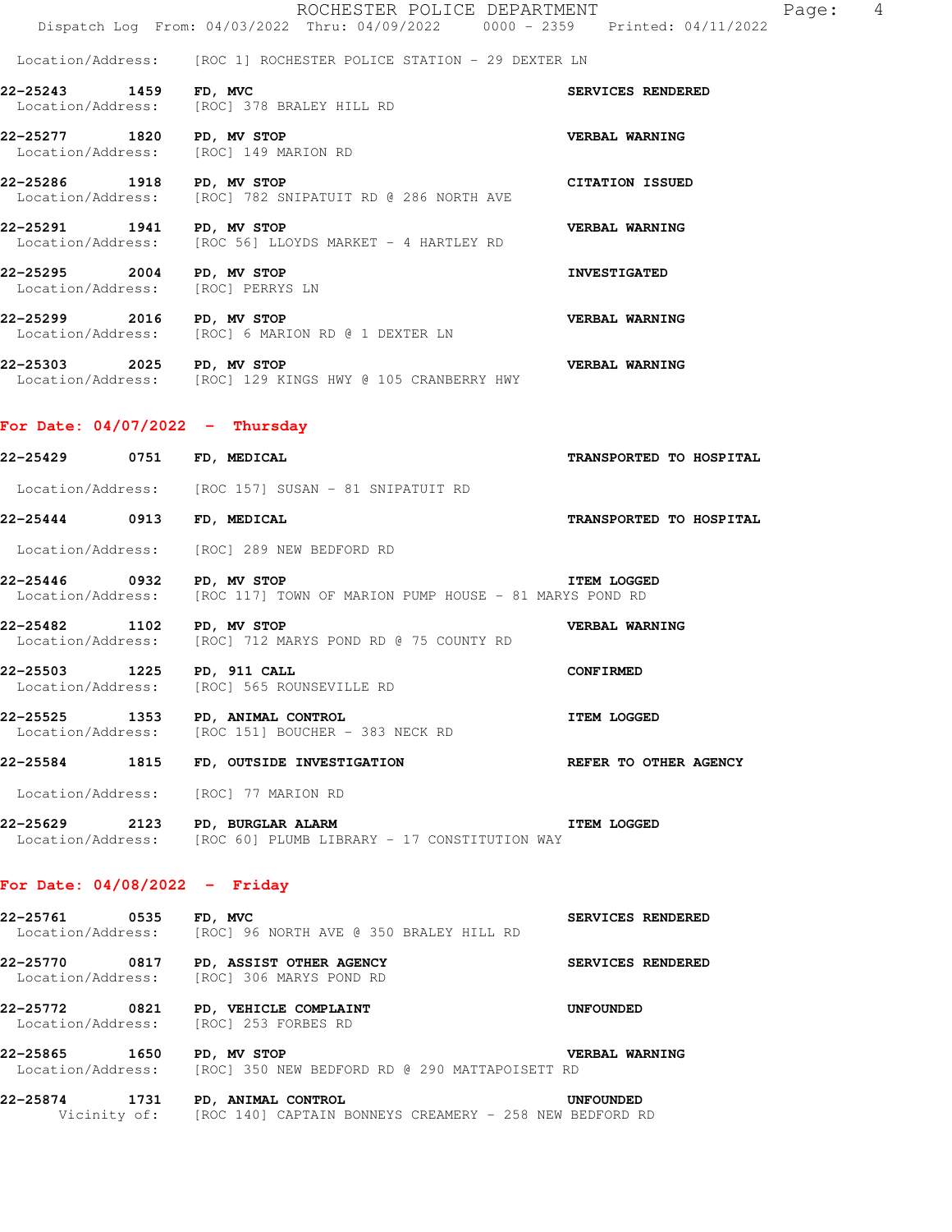Location/Address: [ROC 1] ROCHESTER POLICE STATION - 29 DEXTER LN

- **22-25243 1459 FD, MVC SERVICES RENDERED**  Location/Address: [ROC] 378 BRALEY HILL RD
- **22-25277 1820 PD, MV STOP 1820 PD, AV STOP VERBAL WARNING**<br>
Location/Address: [ROC] 149 MARION RD [ROC] 149 MARION RD
- **22-25286 1918 PD, MV STOP CITATION ISSUED**  Location/Address: [ROC] 782 SNIPATUIT RD @ 286 NORTH AVE
- **22-25291 1941 PD, MV STOP VERBAL WARNING**  Location/Address: [ROC 56] LLOYDS MARKET - 4 HARTLEY RD
- **22-25295 2004 PD, MV STOP INVESTIGATED**  Location/Address: [ROC] PERRYS LN
- **22-25299 2016 PD, MV STOP VERBAL WARNING**  Location/Address: [ROC] 6 MARION RD @ 1 DEXTER LN
- **22-25303 2025 PD, MV STOP VERBAL WARNING**  Location/Address: [ROC] 129 KINGS HWY @ 105 CRANBERRY HWY

## **For Date: 04/07/2022 - Thursday**

| 22-25429 0751 FD, MEDICAL            |                                                                                                                                            | TRANSPORTED TO HOSPITAL |
|--------------------------------------|--------------------------------------------------------------------------------------------------------------------------------------------|-------------------------|
|                                      | Location/Address: [ROC 157] SUSAN - 81 SNIPATUIT RD                                                                                        |                         |
| 22-25444 0913 FD, MEDICAL            |                                                                                                                                            | TRANSPORTED TO HOSPITAL |
|                                      | Location/Address: [ROC] 289 NEW BEDFORD RD                                                                                                 |                         |
| 22-25446 0932 PD, MV STOP            | Location/Address: [ROC 117] TOWN OF MARION PUMP HOUSE - 81 MARYS POND RD                                                                   | <b>ITEM LOGGED</b>      |
| 22-25482 1102 PD, MV STOP            | Location/Address: [ROC] 712 MARYS POND RD @ 75 COUNTY RD                                                                                   | <b>VERBAL WARNING</b>   |
| 22-25503 1225 PD, 911 CALL           | Location/Address: [ROC] 565 ROUNSEVILLE RD                                                                                                 | <b>CONFIRMED</b>        |
|                                      | 22-25525 1353 PD, ANIMAL CONTROL<br>Location/Address: [ROC 151] BOUCHER - 383 NECK RD<br>Location/Address: [ROC 151] BOUCHER - 383 NECK RD |                         |
|                                      | 22-25584 1815 FD, OUTSIDE INVESTIGATION THE REFER TO OTHER AGENCY                                                                          |                         |
| Location/Address: [ROC] 77 MARION RD |                                                                                                                                            |                         |
| 22-25629 2123 PD, BURGLAR ALARM      | Location/Address: [ROC 60] PLUMB LIBRARY - 17 CONSTITUTION WAY                                                                             | <b>ITEM LOGGED</b>      |
| For Date: $04/08/2022 -$ Friday      |                                                                                                                                            |                         |
| 22-25761 0535 FD, MVC                | Location/Address: [ROC] 96 NORTH AVE @ 350 BRALEY HILL RD                                                                                  | SERVICES RENDERED       |
|                                      | 22-25770 0817 PD, ASSIST OTHER AGENCY<br>Location/Address: [ROC] 306 MARYS POND RD                                                         | SERVICES RENDERED       |

- **22-25772 0821 PD, VEHICLE COMPLAINT UNFOUNDED**  Location/Address: [ROC] 253 FORBES RD
- **22-25865 1650 PD, MV STOP VERBAL WARNING**  Location/Address: [ROC] 350 NEW BEDFORD RD @ 290 MATTAPOISETT RD
- **22-25874 1731 PD, ANIMAL CONTROL UNFOUNDED**  Vicinity of: [ROC 140] CAPTAIN BONNEYS CREAMERY - 258 NEW BEDFORD RD